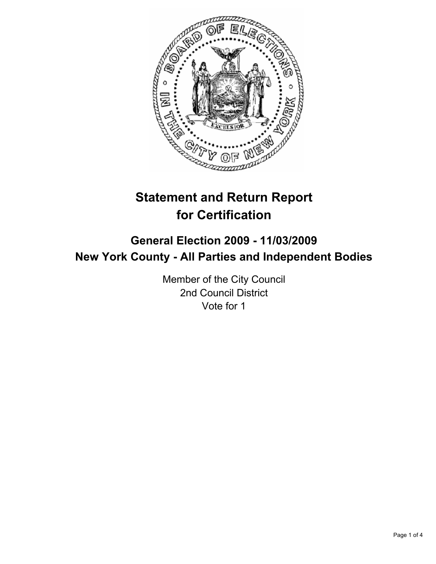

# **Statement and Return Report for Certification**

## **General Election 2009 - 11/03/2009 New York County - All Parties and Independent Bodies**

Member of the City Council 2nd Council District Vote for 1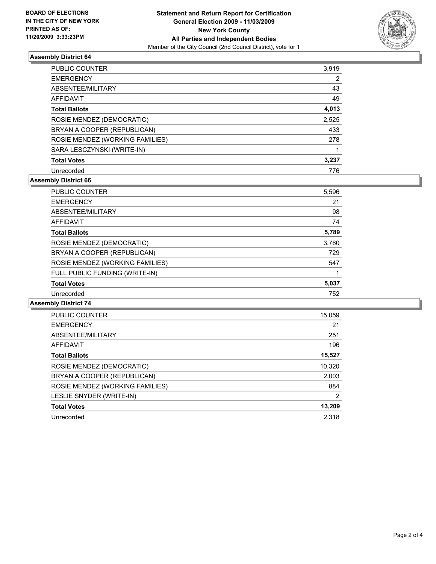

#### **Assembly District 64**

| <b>PUBLIC COUNTER</b>           | 3,919 |
|---------------------------------|-------|
| <b>EMERGENCY</b>                | 2     |
| ABSENTEE/MILITARY               | 43    |
| AFFIDAVIT                       | 49    |
| <b>Total Ballots</b>            | 4,013 |
| ROSIE MENDEZ (DEMOCRATIC)       | 2,525 |
| BRYAN A COOPER (REPUBLICAN)     | 433   |
| ROSIE MENDEZ (WORKING FAMILIES) | 278   |
| SARA LESCZYNSKI (WRITE-IN)      |       |
| <b>Total Votes</b>              | 3.237 |
| Unrecorded                      | 776   |

#### **Assembly District 66**

| PUBLIC COUNTER                  | 5,596 |
|---------------------------------|-------|
| <b>EMERGENCY</b>                | 21    |
| ABSENTEE/MILITARY               | 98    |
| <b>AFFIDAVIT</b>                | 74    |
| <b>Total Ballots</b>            | 5,789 |
| ROSIE MENDEZ (DEMOCRATIC)       | 3,760 |
| BRYAN A COOPER (REPUBLICAN)     | 729   |
| ROSIE MENDEZ (WORKING FAMILIES) | 547   |
| FULL PUBLIC FUNDING (WRITE-IN)  |       |
| <b>Total Votes</b>              | 5,037 |
| Unrecorded                      | 752   |

#### **Assembly District 74**

| PUBLIC COUNTER                  | 15,059 |
|---------------------------------|--------|
| <b>EMERGENCY</b>                | 21     |
| ABSENTEE/MILITARY               | 251    |
| AFFIDAVIT                       | 196    |
| <b>Total Ballots</b>            | 15,527 |
| ROSIE MENDEZ (DEMOCRATIC)       | 10,320 |
| BRYAN A COOPER (REPUBLICAN)     | 2,003  |
| ROSIE MENDEZ (WORKING FAMILIES) | 884    |
| LESLIE SNYDER (WRITE-IN)        | 2      |
| <b>Total Votes</b>              | 13,209 |
| Unrecorded                      | 2.318  |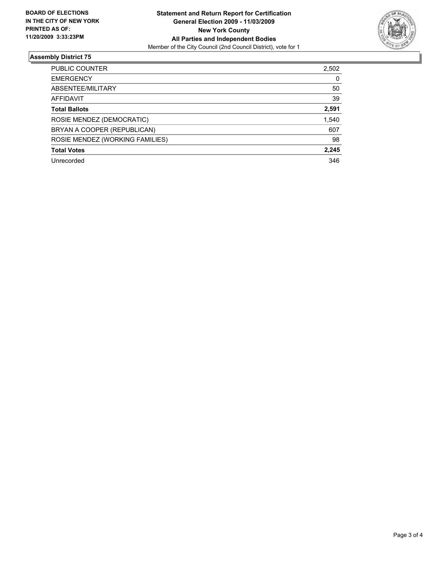

### **Assembly District 75**

| <b>PUBLIC COUNTER</b>           | 2,502 |
|---------------------------------|-------|
| <b>EMERGENCY</b>                | 0     |
| ABSENTEE/MILITARY               | 50    |
| AFFIDAVIT                       | 39    |
| <b>Total Ballots</b>            | 2,591 |
| ROSIE MENDEZ (DEMOCRATIC)       | 1,540 |
| BRYAN A COOPER (REPUBLICAN)     | 607   |
| ROSIE MENDEZ (WORKING FAMILIES) | 98    |
| <b>Total Votes</b>              | 2,245 |
| Unrecorded                      | 346   |